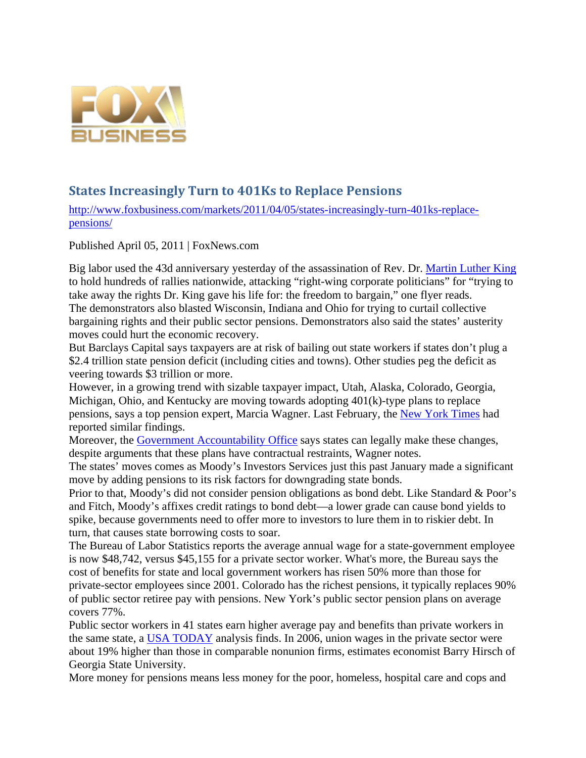

# **States Increasingly Turn to 401Ks to Replace Pensions**

[http://www.foxbusiness.com/markets/2011/04/05/states-increasingly-turn-401ks-replace](http://www.foxbusiness.com/markets/2011/04/05/states-increasingly-turn-401ks-replace-pensions/)[pensions/](http://www.foxbusiness.com/markets/2011/04/05/states-increasingly-turn-401ks-replace-pensions/)

Published April 05, 2011 | FoxNews.com

Big labor used the 43d anniversary yesterday of the assassination of Rev. Dr. [Martin Luther King](http://www.foxbusiness.com/topics/politics/martin-luther-king-jr.htm) to hold hundreds of rallies nationwide, attacking "right-wing corporate politicians" for "trying to take away the rights Dr. King gave his life for: the freedom to bargain," one flyer reads. The demonstrators also blasted Wisconsin, Indiana and Ohio for trying to curtail collective bargaining rights and their public sector pensions. Demonstrators also said the states' austerity moves could hurt the economic recovery.

But Barclays Capital says taxpayers are at risk of bailing out state workers if states don't plug a \$2.4 trillion state pension deficit (including cities and towns). Other studies peg the deficit as veering towards \$3 trillion or more.

However, in a growing trend with sizable taxpayer impact, Utah, Alaska, Colorado, Georgia, Michigan, Ohio, and Kentucky are moving towards adopting 401(k)-type plans to replace pensions, says a top pension expert, Marcia Wagner. Last February, the [New York Times](http://www.foxbusiness.com/topics/business/companies/new-york-times.htm) had reported similar findings.

Moreover, the [Government Accountability Office](http://www.foxbusiness.com/topics/politics/government-accountability-office.htm) says states can legally make these changes, despite arguments that these plans have contractual restraints, Wagner notes.

The states' moves comes as Moody's Investors Services just this past January made a significant move by adding pensions to its risk factors for downgrading state bonds.

Prior to that, Moody's did not consider pension obligations as bond debt. Like Standard & Poor's and Fitch, Moody's affixes credit ratings to bond debt—a lower grade can cause bond yields to spike, because governments need to offer more to investors to lure them in to riskier debt. In turn, that causes state borrowing costs to soar.

The Bureau of Labor Statistics reports the average annual wage for a state-government employee is now \$48,742, versus \$45,155 for a private sector worker. What's more, the Bureau says the cost of benefits for state and local government workers has risen 50% more than those for private-sector employees since 2001. Colorado has the richest pensions, it typically replaces 90% of public sector retiree pay with pensions. New York's public sector pension plans on average covers 77%.

Public sector workers in 41 states earn higher average pay and benefits than private workers in the same state, a [USA TODAY](http://www.foxbusiness.com/topics/business/usa-today.htm) analysis finds. In 2006, union wages in the private sector were about 19% higher than those in comparable nonunion firms, estimates economist Barry Hirsch of Georgia State University.

More money for pensions means less money for the poor, homeless, hospital care and cops and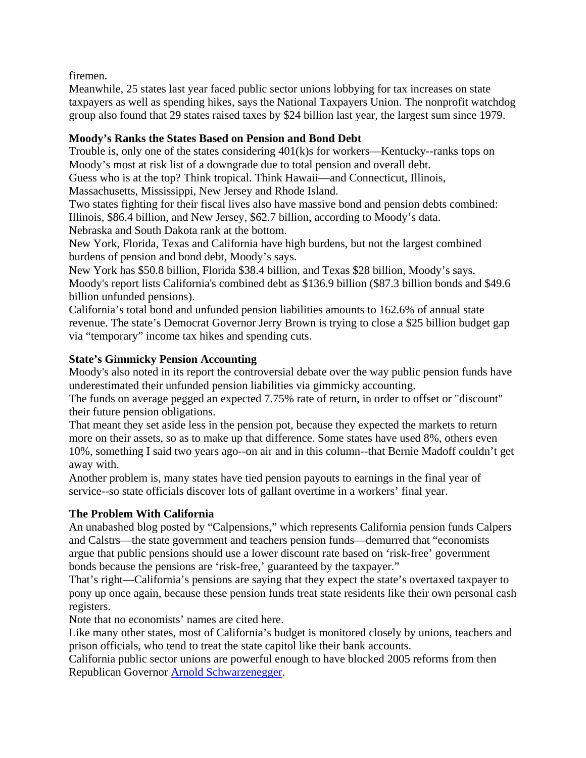firemen.

Meanwhile, 25 states last year faced public sector unions lobbying for tax increases on state taxpayers as well as spending hikes, says the National Taxpayers Union. The nonprofit watchdog group also found that 29 states raised taxes by \$24 billion last year, the largest sum since 1979.

### **Moody's Ranks the States Based on Pension and Bond Debt**

Trouble is, only one of the states considering  $401(k)$ s for workers—Kentucky--ranks tops on Moody's most at risk list of a downgrade due to total pension and overall debt.

Guess who is at the top? Think tropical. Think Hawaii—and Connecticut, Illinois, Massachusetts, Mississippi, New Jersey and Rhode Island.

Two states fighting for their fiscal lives also have massive bond and pension debts combined: Illinois, \$86.4 billion, and New Jersey, \$62.7 billion, according to Moody's data. Nebraska and South Dakota rank at the bottom.

New York, Florida, Texas and California have high burdens, but not the largest combined burdens of pension and bond debt, Moody's says.

New York has \$50.8 billion, Florida \$38.4 billion, and Texas \$28 billion, Moody's says. Moody's report lists California's combined debt as \$136.9 billion (\$87.3 billion bonds and \$49.6 billion unfunded pensions).

California's total bond and unfunded pension liabilities amounts to 162.6% of annual state revenue. The state's Democrat Governor Jerry Brown is trying to close a \$25 billion budget gap via "temporary" income tax hikes and spending cuts.

## **State's Gimmicky Pension Accounting**

Moody's also noted in its report the controversial debate over the way public pension funds have underestimated their unfunded pension liabilities via gimmicky accounting.

The funds on average pegged an expected 7.75% rate of return, in order to offset or "discount" their future pension obligations.

That meant they set aside less in the pension pot, because they expected the markets to return more on their assets, so as to make up that difference. Some states have used 8%, others even 10%, something I said two years ago--on air and in this column--that Bernie Madoff couldn't get away with.

Another problem is, many states have tied pension payouts to earnings in the final year of service--so state officials discover lots of gallant overtime in a workers' final year.

# **The Problem With California**

An unabashed blog posted by "Calpensions," which represents California pension funds Calpers and Calstrs—the state government and teachers pension funds—demurred that "economists argue that public pensions should use a lower discount rate based on 'risk-free' government bonds because the pensions are 'risk-free,' guaranteed by the taxpayer."

That's right—California's pensions are saying that they expect the state's overtaxed taxpayer to pony up once again, because these pension funds treat state residents like their own personal cash registers.

Note that no economists' names are cited here.

Like many other states, most of California's budget is monitored closely by unions, teachers and prison officials, who tend to treat the state capitol like their bank accounts.

California public sector unions are powerful enough to have blocked 2005 reforms from then Republican Governor [Arnold Schwarzenegger.](http://www.foxbusiness.com/topics/politics/arnold-schwarzenegger.htm)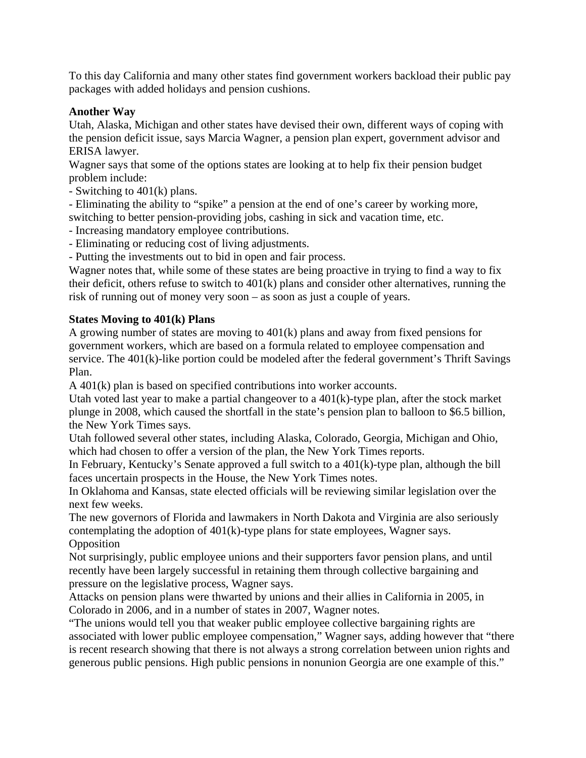To this day California and many other states find government workers backload their public pay packages with added holidays and pension cushions.

#### **Another Way**

Utah, Alaska, Michigan and other states have devised their own, different ways of coping with the pension deficit issue, says Marcia Wagner, a pension plan expert, government advisor and ERISA lawyer.

Wagner says that some of the options states are looking at to help fix their pension budget problem include:

- Switching to 401(k) plans.

- Eliminating the ability to "spike" a pension at the end of one's career by working more, switching to better pension-providing jobs, cashing in sick and vacation time, etc.

- Increasing mandatory employee contributions.
- Eliminating or reducing cost of living adjustments.
- Putting the investments out to bid in open and fair process.

Wagner notes that, while some of these states are being proactive in trying to find a way to fix their deficit, others refuse to switch to 401(k) plans and consider other alternatives, running the risk of running out of money very soon – as soon as just a couple of years.

#### **States Moving to 401(k) Plans**

A growing number of states are moving to 401(k) plans and away from fixed pensions for government workers, which are based on a formula related to employee compensation and service. The 401(k)-like portion could be modeled after the federal government's Thrift Savings Plan.

A 401(k) plan is based on specified contributions into worker accounts.

Utah voted last year to make a partial changeover to a 401(k)-type plan, after the stock market plunge in 2008, which caused the shortfall in the state's pension plan to balloon to \$6.5 billion, the New York Times says.

Utah followed several other states, including Alaska, Colorado, Georgia, Michigan and Ohio, which had chosen to offer a version of the plan, the New York Times reports.

In February, Kentucky's Senate approved a full switch to a 401(k)-type plan, although the bill faces uncertain prospects in the House, the New York Times notes.

In Oklahoma and Kansas, state elected officials will be reviewing similar legislation over the next few weeks.

The new governors of Florida and lawmakers in North Dakota and Virginia are also seriously contemplating the adoption of 401(k)-type plans for state employees, Wagner says. Opposition

Not surprisingly, public employee unions and their supporters favor pension plans, and until recently have been largely successful in retaining them through collective bargaining and pressure on the legislative process, Wagner says.

Attacks on pension plans were thwarted by unions and their allies in California in 2005, in Colorado in 2006, and in a number of states in 2007, Wagner notes.

"The unions would tell you that weaker public employee collective bargaining rights are associated with lower public employee compensation," Wagner says, adding however that "there is recent research showing that there is not always a strong correlation between union rights and generous public pensions. High public pensions in nonunion Georgia are one example of this."